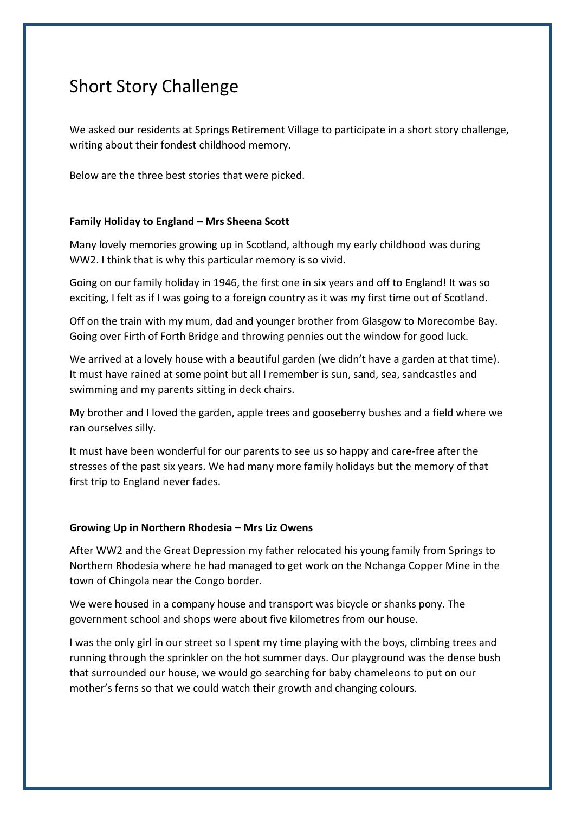## Short Story Challenge

We asked our residents at Springs Retirement Village to participate in a short story challenge, writing about their fondest childhood memory.

Below are the three best stories that were picked.

## **Family Holiday to England – Mrs Sheena Scott**

Many lovely memories growing up in Scotland, although my early childhood was during WW2. I think that is why this particular memory is so vivid.

Going on our family holiday in 1946, the first one in six years and off to England! It was so exciting, I felt as if I was going to a foreign country as it was my first time out of Scotland.

Off on the train with my mum, dad and younger brother from Glasgow to Morecombe Bay. Going over Firth of Forth Bridge and throwing pennies out the window for good luck.

We arrived at a lovely house with a beautiful garden (we didn't have a garden at that time). It must have rained at some point but all I remember is sun, sand, sea, sandcastles and swimming and my parents sitting in deck chairs.

My brother and I loved the garden, apple trees and gooseberry bushes and a field where we ran ourselves silly.

It must have been wonderful for our parents to see us so happy and care-free after the stresses of the past six years. We had many more family holidays but the memory of that first trip to England never fades.

## **Growing Up in Northern Rhodesia – Mrs Liz Owens**

After WW2 and the Great Depression my father relocated his young family from Springs to Northern Rhodesia where he had managed to get work on the Nchanga Copper Mine in the town of Chingola near the Congo border.

We were housed in a company house and transport was bicycle or shanks pony. The government school and shops were about five kilometres from our house.

I was the only girl in our street so I spent my time playing with the boys, climbing trees and running through the sprinkler on the hot summer days. Our playground was the dense bush that surrounded our house, we would go searching for baby chameleons to put on our mother's ferns so that we could watch their growth and changing colours.